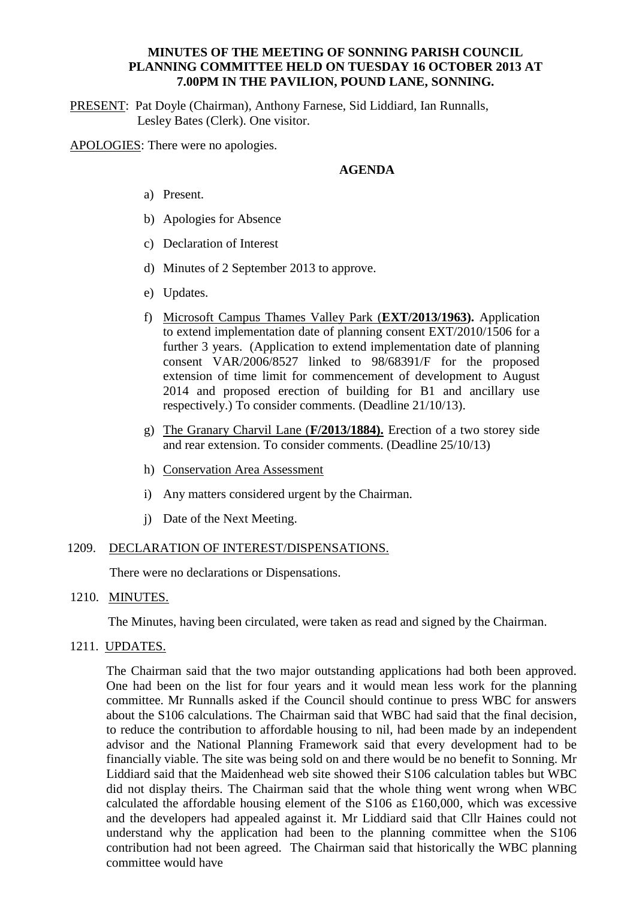## **MINUTES OF THE MEETING OF SONNING PARISH COUNCIL PLANNING COMMITTEE HELD ON TUESDAY 16 OCTOBER 2013 AT 7.00PM IN THE PAVILION, POUND LANE, SONNING.**

PRESENT: Pat Doyle (Chairman), Anthony Farnese, Sid Liddiard, Ian Runnalls, Lesley Bates (Clerk). One visitor.

APOLOGIES: There were no apologies.

## **AGENDA**

- a) Present.
- b) Apologies for Absence
- c) Declaration of Interest
- d) Minutes of 2 September 2013 to approve.
- e) Updates.
- f) Microsoft Campus Thames Valley Park (**EXT/2013/1963).** Application to extend implementation date of planning consent EXT/2010/1506 for a further 3 years. (Application to extend implementation date of planning consent VAR/2006/8527 linked to 98/68391/F for the proposed extension of time limit for commencement of development to August 2014 and proposed erection of building for B1 and ancillary use respectively.) To consider comments. (Deadline 21/10/13).
- g) The Granary Charvil Lane (**F/2013/1884).** Erection of a two storey side and rear extension. To consider comments. (Deadline 25/10/13)
- h) Conservation Area Assessment
- i) Any matters considered urgent by the Chairman.
- j) Date of the Next Meeting.

#### 1209. DECLARATION OF INTEREST/DISPENSATIONS.

There were no declarations or Dispensations.

1210. MINUTES.

The Minutes, having been circulated, were taken as read and signed by the Chairman.

1211. UPDATES.

The Chairman said that the two major outstanding applications had both been approved. One had been on the list for four years and it would mean less work for the planning committee. Mr Runnalls asked if the Council should continue to press WBC for answers about the S106 calculations. The Chairman said that WBC had said that the final decision, to reduce the contribution to affordable housing to nil, had been made by an independent advisor and the National Planning Framework said that every development had to be financially viable. The site was being sold on and there would be no benefit to Sonning. Mr Liddiard said that the Maidenhead web site showed their S106 calculation tables but WBC did not display theirs. The Chairman said that the whole thing went wrong when WBC calculated the affordable housing element of the S106 as £160,000, which was excessive and the developers had appealed against it. Mr Liddiard said that Cllr Haines could not understand why the application had been to the planning committee when the S106 contribution had not been agreed. The Chairman said that historically the WBC planning committee would have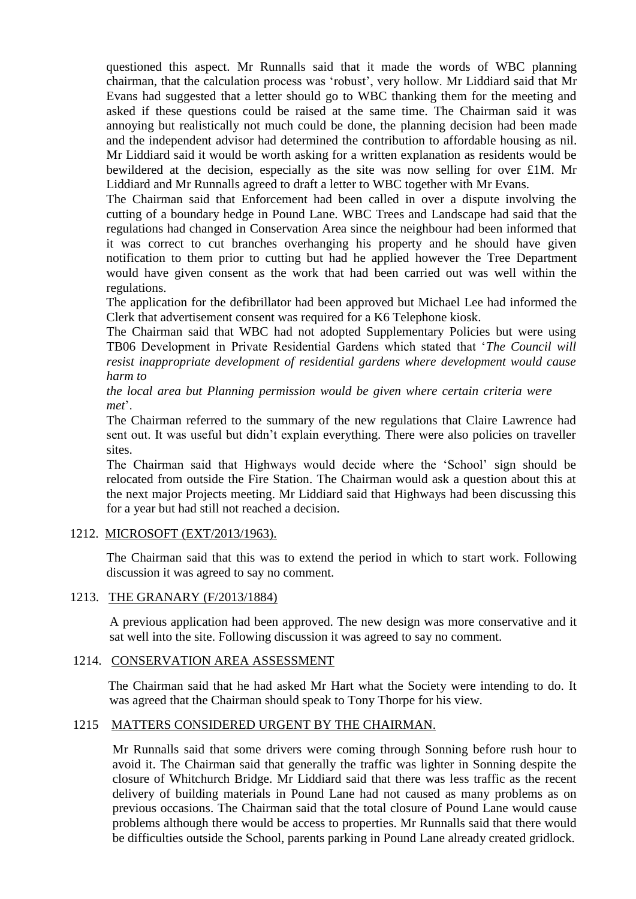questioned this aspect. Mr Runnalls said that it made the words of WBC planning chairman, that the calculation process was 'robust', very hollow. Mr Liddiard said that Mr Evans had suggested that a letter should go to WBC thanking them for the meeting and asked if these questions could be raised at the same time. The Chairman said it was annoying but realistically not much could be done, the planning decision had been made and the independent advisor had determined the contribution to affordable housing as nil. Mr Liddiard said it would be worth asking for a written explanation as residents would be bewildered at the decision, especially as the site was now selling for over £1M. Mr Liddiard and Mr Runnalls agreed to draft a letter to WBC together with Mr Evans.

The Chairman said that Enforcement had been called in over a dispute involving the cutting of a boundary hedge in Pound Lane. WBC Trees and Landscape had said that the regulations had changed in Conservation Area since the neighbour had been informed that it was correct to cut branches overhanging his property and he should have given notification to them prior to cutting but had he applied however the Tree Department would have given consent as the work that had been carried out was well within the regulations.

The application for the defibrillator had been approved but Michael Lee had informed the Clerk that advertisement consent was required for a K6 Telephone kiosk.

The Chairman said that WBC had not adopted Supplementary Policies but were using TB06 Development in Private Residential Gardens which stated that '*The Council will resist inappropriate development of residential gardens where development would cause harm to*

*the local area but Planning permission would be given where certain criteria were met*'.

The Chairman referred to the summary of the new regulations that Claire Lawrence had sent out. It was useful but didn't explain everything. There were also policies on traveller sites.

The Chairman said that Highways would decide where the 'School' sign should be relocated from outside the Fire Station. The Chairman would ask a question about this at the next major Projects meeting. Mr Liddiard said that Highways had been discussing this for a year but had still not reached a decision.

#### 1212. MICROSOFT (EXT/2013/1963).

The Chairman said that this was to extend the period in which to start work. Following discussion it was agreed to say no comment.

#### 1213. THE GRANARY (F/2013/1884)

A previous application had been approved. The new design was more conservative and it sat well into the site. Following discussion it was agreed to say no comment.

# 1214. CONSERVATION AREA ASSESSMENT

 The Chairman said that he had asked Mr Hart what the Society were intending to do. It was agreed that the Chairman should speak to Tony Thorpe for his view.

# 1215 MATTERS CONSIDERED URGENT BY THE CHAIRMAN.

Mr Runnalls said that some drivers were coming through Sonning before rush hour to avoid it. The Chairman said that generally the traffic was lighter in Sonning despite the closure of Whitchurch Bridge. Mr Liddiard said that there was less traffic as the recent delivery of building materials in Pound Lane had not caused as many problems as on previous occasions. The Chairman said that the total closure of Pound Lane would cause problems although there would be access to properties. Mr Runnalls said that there would be difficulties outside the School, parents parking in Pound Lane already created gridlock.